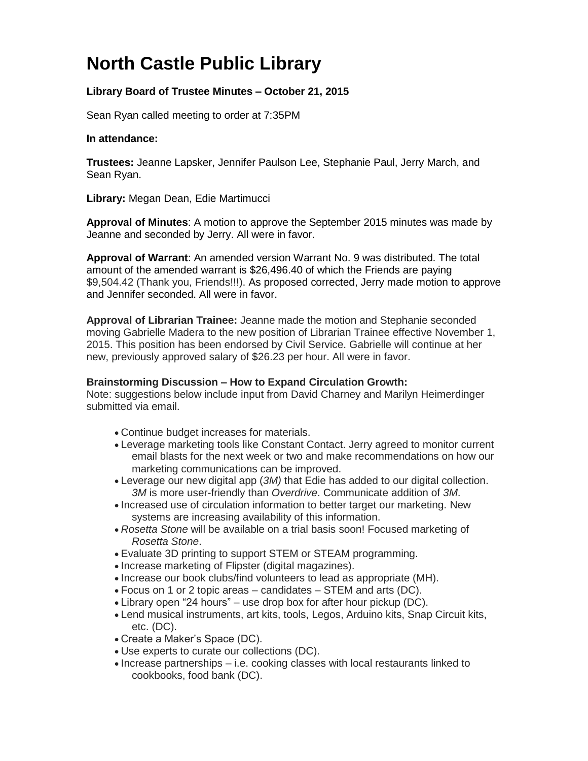## **North Castle Public Library**

## **Library Board of Trustee Minutes – October 21, 2015**

Sean Ryan called meeting to order at 7:35PM

## **In attendance:**

**Trustees:** Jeanne Lapsker, Jennifer Paulson Lee, Stephanie Paul, Jerry March, and Sean Ryan.

**Library:** Megan Dean, Edie Martimucci

**Approval of Minutes**: A motion to approve the September 2015 minutes was made by Jeanne and seconded by Jerry. All were in favor.

**Approval of Warrant**: An amended version Warrant No. 9 was distributed. The total amount of the amended warrant is \$26,496.40 of which the Friends are paying \$9,504.42 (Thank you, Friends!!!). As proposed corrected, Jerry made motion to approve and Jennifer seconded. All were in favor.

**Approval of Librarian Trainee:** Jeanne made the motion and Stephanie seconded moving Gabrielle Madera to the new position of Librarian Trainee effective November 1, 2015. This position has been endorsed by Civil Service. Gabrielle will continue at her new, previously approved salary of \$26.23 per hour. All were in favor.

## **Brainstorming Discussion – How to Expand Circulation Growth:**

Note: suggestions below include input from David Charney and Marilyn Heimerdinger submitted via email.

- Continue budget increases for materials.
- Leverage marketing tools like Constant Contact. Jerry agreed to monitor current email blasts for the next week or two and make recommendations on how our marketing communications can be improved.
- Leverage our new digital app (*3M)* that Edie has added to our digital collection. *3M* is more user-friendly than *Overdrive*. Communicate addition of *3M*.
- Increased use of circulation information to better target our marketing. New systems are increasing availability of this information.
- *Rosetta Stone* will be available on a trial basis soon! Focused marketing of *Rosetta Stone*.
- Evaluate 3D printing to support STEM or STEAM programming.
- Increase marketing of Flipster (digital magazines).
- Increase our book clubs/find volunteers to lead as appropriate (MH).
- Focus on 1 or 2 topic areas candidates STEM and arts (DC).
- Library open "24 hours" use drop box for after hour pickup (DC).
- Lend musical instruments, art kits, tools, Legos, Arduino kits, Snap Circuit kits, etc. (DC).
- Create a Maker's Space (DC).
- Use experts to curate our collections (DC).
- Increase partnerships i.e. cooking classes with local restaurants linked to cookbooks, food bank (DC).